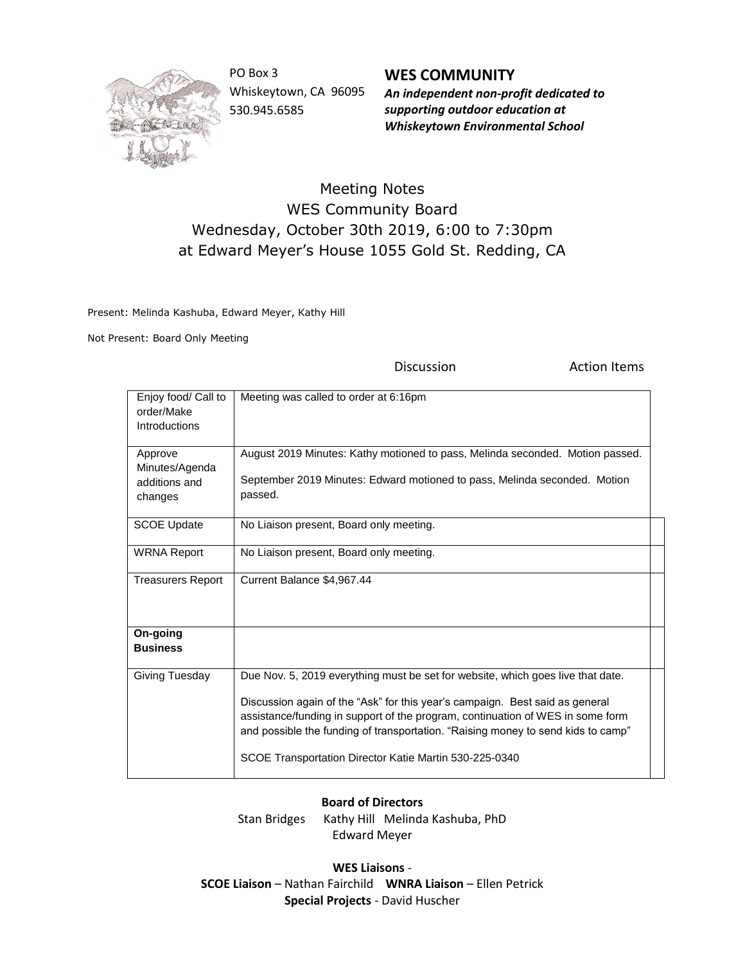

PO Box 3 Whiskeytown, CA 96095 530.945.6585

**WES COMMUNITY** *An independent non-profit dedicated to supporting outdoor education at Whiskeytown Environmental School*

## Meeting Notes WES Community Board Wednesday, October 30th 2019, 6:00 to 7:30pm at Edward Meyer's House 1055 Gold St. Redding, CA

Present: Melinda Kashuba, Edward Meyer, Kathy Hill

Not Present: Board Only Meeting

Discussion **Action Items** Enjoy food/ Call to order/Make Introductions Meeting was called to order at 6:16pm Approve Minutes/Agenda additions and changes August 2019 Minutes: Kathy motioned to pass, Melinda seconded. Motion passed. September 2019 Minutes: Edward motioned to pass, Melinda seconded. Motion passed. SCOE Update | No Liaison present, Board only meeting. WRNA Report | No Liaison present, Board only meeting. Treasurers Report | Current Balance \$4,967.44 **On-going Business** Giving Tuesday | Due Nov. 5, 2019 everything must be set for website, which goes live that date. Discussion again of the "Ask" for this year's campaign. Best said as general assistance/funding in support of the program, continuation of WES in some form and possible the funding of transportation. "Raising money to send kids to camp" SCOE Transportation Director Katie Martin 530-225-0340

## **Board of Directors**

Stan Bridges Kathy Hill Melinda Kashuba, PhD Edward Meyer

**WES Liaisons** - **SCOE Liaison** – Nathan Fairchild **WNRA Liaison** – Ellen Petrick **Special Projects** - David Huscher